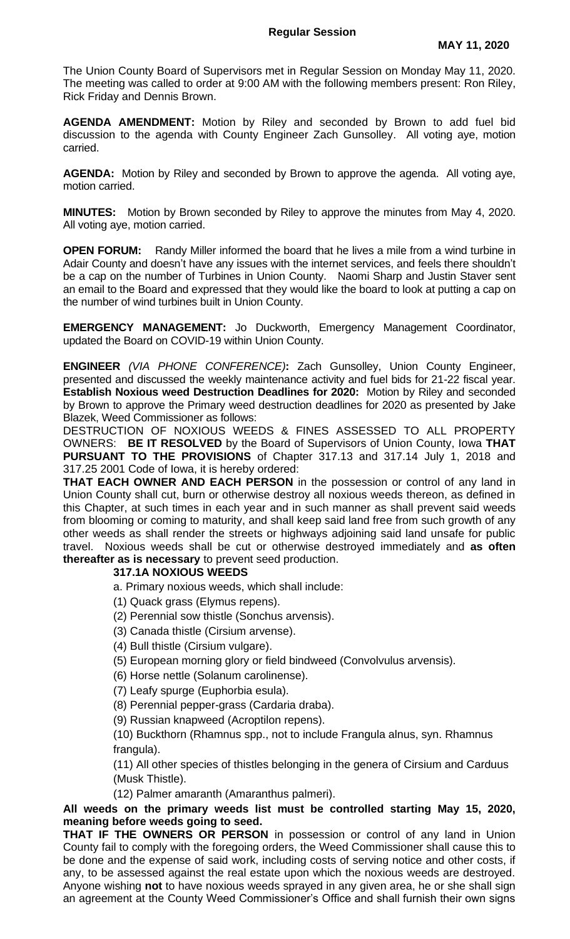The Union County Board of Supervisors met in Regular Session on Monday May 11, 2020. The meeting was called to order at 9:00 AM with the following members present: Ron Riley, Rick Friday and Dennis Brown.

**AGENDA AMENDMENT:** Motion by Riley and seconded by Brown to add fuel bid discussion to the agenda with County Engineer Zach Gunsolley. All voting aye, motion carried.

**AGENDA:** Motion by Riley and seconded by Brown to approve the agenda. All voting aye, motion carried.

**MINUTES:** Motion by Brown seconded by Riley to approve the minutes from May 4, 2020. All voting aye, motion carried.

**OPEN FORUM:** Randy Miller informed the board that he lives a mile from a wind turbine in Adair County and doesn't have any issues with the internet services, and feels there shouldn't be a cap on the number of Turbines in Union County. Naomi Sharp and Justin Staver sent an email to the Board and expressed that they would like the board to look at putting a cap on the number of wind turbines built in Union County.

**EMERGENCY MANAGEMENT:** Jo Duckworth, Emergency Management Coordinator, updated the Board on COVID-19 within Union County.

**ENGINEER** *(VIA PHONE CONFERENCE)***:** Zach Gunsolley, Union County Engineer, presented and discussed the weekly maintenance activity and fuel bids for 21-22 fiscal year. **Establish Noxious weed Destruction Deadlines for 2020:** Motion by Riley and seconded by Brown to approve the Primary weed destruction deadlines for 2020 as presented by Jake Blazek, Weed Commissioner as follows:

DESTRUCTION OF NOXIOUS WEEDS & FINES ASSESSED TO ALL PROPERTY OWNERS: **BE IT RESOLVED** by the Board of Supervisors of Union County, Iowa **THAT PURSUANT TO THE PROVISIONS** of Chapter 317.13 and 317.14 July 1, 2018 and 317.25 2001 Code of Iowa, it is hereby ordered:

**THAT EACH OWNER AND EACH PERSON** in the possession or control of any land in Union County shall cut, burn or otherwise destroy all noxious weeds thereon, as defined in this Chapter, at such times in each year and in such manner as shall prevent said weeds from blooming or coming to maturity, and shall keep said land free from such growth of any other weeds as shall render the streets or highways adjoining said land unsafe for public travel. Noxious weeds shall be cut or otherwise destroyed immediately and **as often thereafter as is necessary** to prevent seed production.

## **317.1A NOXIOUS WEEDS**

- a. Primary noxious weeds, which shall include:
- (1) Quack grass (Elymus repens).
- (2) Perennial sow thistle (Sonchus arvensis).
- (3) Canada thistle (Cirsium arvense).
- (4) Bull thistle (Cirsium vulgare).
- (5) European morning glory or field bindweed (Convolvulus arvensis).
- (6) Horse nettle (Solanum carolinense).
- (7) Leafy spurge (Euphorbia esula).
- (8) Perennial pepper-grass (Cardaria draba).
- (9) Russian knapweed (Acroptilon repens).

(10) Buckthorn (Rhamnus spp., not to include Frangula alnus, syn. Rhamnus frangula).

(11) All other species of thistles belonging in the genera of Cirsium and Carduus (Musk Thistle).

(12) Palmer amaranth (Amaranthus palmeri).

## **All weeds on the primary weeds list must be controlled starting May 15, 2020, meaning before weeds going to seed.**

**THAT IF THE OWNERS OR PERSON** in possession or control of any land in Union County fail to comply with the foregoing orders, the Weed Commissioner shall cause this to be done and the expense of said work, including costs of serving notice and other costs, if any, to be assessed against the real estate upon which the noxious weeds are destroyed. Anyone wishing **not** to have noxious weeds sprayed in any given area, he or she shall sign an agreement at the County Weed Commissioner's Office and shall furnish their own signs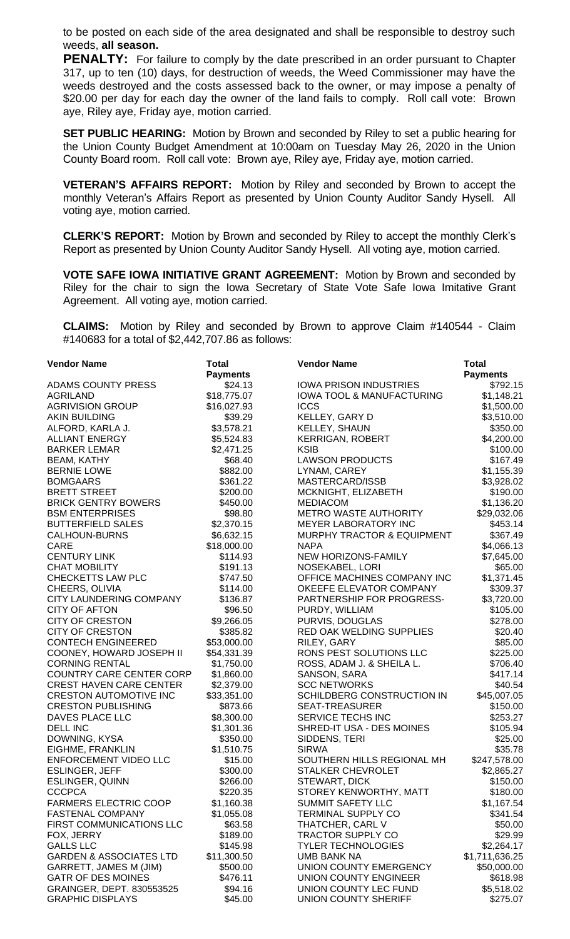to be posted on each side of the area designated and shall be responsible to destroy such weeds, **all season.**

**PENALTY:** For failure to comply by the date prescribed in an order pursuant to Chapter 317, up to ten (10) days, for destruction of weeds, the Weed Commissioner may have the weeds destroyed and the costs assessed back to the owner, or may impose a penalty of \$20.00 per day for each day the owner of the land fails to comply. Roll call vote: Brown aye, Riley aye, Friday aye, motion carried.

**SET PUBLIC HEARING:** Motion by Brown and seconded by Riley to set a public hearing for the Union County Budget Amendment at 10:00am on Tuesday May 26, 2020 in the Union County Board room. Roll call vote: Brown aye, Riley aye, Friday aye, motion carried.

**VETERAN'S AFFAIRS REPORT:** Motion by Riley and seconded by Brown to accept the monthly Veteran's Affairs Report as presented by Union County Auditor Sandy Hysell. All voting aye, motion carried.

**CLERK'S REPORT:** Motion by Brown and seconded by Riley to accept the monthly Clerk's Report as presented by Union County Auditor Sandy Hysell. All voting aye, motion carried.

**VOTE SAFE IOWA INITIATIVE GRANT AGREEMENT:** Motion by Brown and seconded by Riley for the chair to sign the Iowa Secretary of State Vote Safe Iowa Imitative Grant Agreement. All voting aye, motion carried.

**CLAIMS:** Motion by Riley and seconded by Brown to approve Claim #140544 - Claim #140683 for a total of \$2,442,707.86 as follows:

| <b>Vendor Name</b>                 | <b>Total</b>    | <b>Vendor Name</b>                    | <b>Total</b>    |
|------------------------------------|-----------------|---------------------------------------|-----------------|
|                                    | <b>Payments</b> |                                       | <b>Payments</b> |
| ADAMS COUNTY PRESS                 | \$24.13         | <b>IOWA PRISON INDUSTRIES</b>         | \$792.15        |
| <b>AGRILAND</b>                    | \$18,775.07     | <b>IOWA TOOL &amp; MANUFACTURING</b>  | \$1,148.21      |
| <b>AGRIVISION GROUP</b>            | \$16,027.93     | <b>ICCS</b>                           | \$1,500.00      |
| <b>AKIN BUILDING</b>               | \$39.29         | KELLEY, GARY D                        | \$3,510.00      |
| ALFORD, KARLA J.                   | \$3,578.21      | KELLEY, SHAUN                         | \$350.00        |
| <b>ALLIANT ENERGY</b>              | \$5,524.83      | <b>KERRIGAN, ROBERT</b>               | \$4,200.00      |
| <b>BARKER LEMAR</b>                | \$2,471.25      | <b>KSIB</b>                           | \$100.00        |
| <b>BEAM, KATHY</b>                 | \$68.40         | <b>LAWSON PRODUCTS</b>                | \$167.49        |
| <b>BERNIE LOWE</b>                 | \$882.00        | LYNAM, CAREY                          | \$1,155.39      |
| <b>BOMGAARS</b>                    | \$361.22        | MASTERCARD/ISSB                       | \$3,928.02      |
| <b>BRETT STREET</b>                | \$200.00        | MCKNIGHT, ELIZABETH                   | \$190.00        |
| <b>BRICK GENTRY BOWERS</b>         | \$450.00        | <b>MEDIACOM</b>                       | \$1,136.20      |
| <b>BSM ENTERPRISES</b>             | \$98.80         | <b>METRO WASTE AUTHORITY</b>          | \$29,032.06     |
| <b>BUTTERFIELD SALES</b>           | \$2,370.15      | MEYER LABORATORY INC                  | \$453.14        |
| <b>CALHOUN-BURNS</b>               | \$6,632.15      | <b>MURPHY TRACTOR &amp; EQUIPMENT</b> | \$367.49        |
| <b>CARE</b>                        | \$18,000.00     | <b>NAPA</b>                           | \$4,066.13      |
| <b>CENTURY LINK</b>                | \$114.93        | NEW HORIZONS-FAMILY                   | \$7,645.00      |
| <b>CHAT MOBILITY</b>               | \$191.13        | NOSEKABEL, LORI                       | \$65.00         |
| CHECKETTS LAW PLC                  | \$747.50        | OFFICE MACHINES COMPANY INC           | \$1,371.45      |
| CHEERS, OLIVIA                     | \$114.00        | OKEEFE ELEVATOR COMPANY               | \$309.37        |
| CITY LAUNDERING COMPANY            | \$136.87        | PARTNERSHIP FOR PROGRESS-             | \$3,720.00      |
| <b>CITY OF AFTON</b>               | \$96.50         | PURDY, WILLIAM                        | \$105.00        |
| <b>CITY OF CRESTON</b>             |                 | PURVIS, DOUGLAS                       |                 |
| <b>CITY OF CRESTON</b>             | \$9,266.05      |                                       | \$278.00        |
|                                    | \$385.82        | RED OAK WELDING SUPPLIES              | \$20.40         |
| <b>CONTECH ENGINEERED</b>          | \$53,000.00     | RILEY, GARY                           | \$85.00         |
| COONEY, HOWARD JOSEPH II           | \$54,331.39     | RONS PEST SOLUTIONS LLC               | \$225.00        |
| <b>CORNING RENTAL</b>              | \$1,750.00      | ROSS, ADAM J. & SHEILA L.             | \$706.40        |
| <b>COUNTRY CARE CENTER CORP</b>    | \$1,860.00      | SANSON, SARA                          | \$417.14        |
| <b>CREST HAVEN CARE CENTER</b>     | \$2,379.00      | <b>SCC NETWORKS</b>                   | \$40.54         |
| <b>CRESTON AUTOMOTIVE INC</b>      | \$33,351.00     | SCHILDBERG CONSTRUCTION IN            | \$45,007.05     |
| <b>CRESTON PUBLISHING</b>          | \$873.66        | SEAT-TREASURER                        | \$150.00        |
| DAVES PLACE LLC                    | \$8,300.00      | SERVICE TECHS INC                     | \$253.27        |
| DELL INC                           | \$1,301.36      | SHRED-IT USA - DES MOINES             | \$105.94        |
| DOWNING, KYSA                      | \$350.00        | SIDDENS, TERI                         | \$25.00         |
| EIGHME, FRANKLIN                   | \$1,510.75      | <b>SIRWA</b>                          | \$35.78         |
| <b>ENFORCEMENT VIDEO LLC</b>       | \$15.00         | SOUTHERN HILLS REGIONAL MH            | \$247,578.00    |
| ESLINGER, JEFF                     | \$300.00        | <b>STALKER CHEVROLET</b>              | \$2,865.27      |
| <b>ESLINGER, QUINN</b>             | \$266.00        | STEWART, DICK                         | \$150.00        |
| <b>CCCPCA</b>                      | \$220.35        | STOREY KENWORTHY, MATT                | \$180.00        |
| <b>FARMERS ELECTRIC COOP</b>       | \$1,160.38      | <b>SUMMIT SAFETY LLC</b>              | \$1,167.54      |
| <b>FASTENAL COMPANY</b>            | \$1,055.08      | <b>TERMINAL SUPPLY CO</b>             | \$341.54        |
| FIRST COMMUNICATIONS LLC           | \$63.58         | THATCHER, CARL V                      | \$50.00         |
| FOX, JERRY                         | \$189.00        | TRACTOR SUPPLY CO                     | \$29.99         |
| <b>GALLS LLC</b>                   | \$145.98        | <b>TYLER TECHNOLOGIES</b>             | \$2,264.17      |
| <b>GARDEN &amp; ASSOCIATES LTD</b> | \$11,300.50     | <b>UMB BANK NA</b>                    | \$1,711,636.25  |
| GARRETT, JAMES M (JIM)             | \$500.00        | UNION COUNTY EMERGENCY                | \$50,000.00     |
| <b>GATR OF DES MOINES</b>          | \$476.11        | UNION COUNTY ENGINEER                 | \$618.98        |
| GRAINGER, DEPT. 830553525          | \$94.16         | UNION COUNTY LEC FUND                 | \$5,518.02      |
| <b>GRAPHIC DISPLAYS</b>            | \$45.00         | UNION COUNTY SHERIFF                  | \$275.07        |